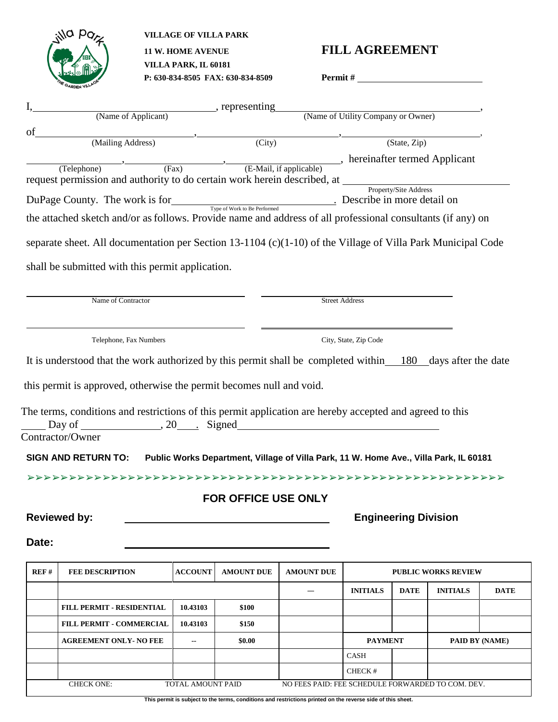

**ANO PO<sub>P</sub>** VILLAGE OF VILLA PARK  **VILLA PARK, IL 60181 P: 630-834-8505 FAX: 630-834-8509 Permit #** 

## **11 W. HOME AVENUE FILL AGREEMENT**

|                                                                                           | (Name of Applicant) (Name of Applicant)                                                                     |                |                            | (Name of Utility Company or Owner) |                             |              |                            |             |
|-------------------------------------------------------------------------------------------|-------------------------------------------------------------------------------------------------------------|----------------|----------------------------|------------------------------------|-----------------------------|--------------|----------------------------|-------------|
|                                                                                           |                                                                                                             |                |                            |                                    |                             |              |                            |             |
| of                                                                                        | (Mailing Address)                                                                                           |                | (City)                     |                                    |                             | (State, Zip) |                            |             |
|                                                                                           |                                                                                                             |                |                            |                                    |                             |              |                            |             |
|                                                                                           | (Telephone) (Fax) (E-Mail, if applicable) between termed Applicant                                          |                |                            |                                    |                             |              |                            |             |
|                                                                                           | request permission and authority to do certain work herein described, at Property/Site Address              |                |                            |                                    |                             |              |                            |             |
| DuPage County. The work is for<br>Type of Work to Be Performed Describe in more detail on |                                                                                                             |                |                            |                                    |                             |              |                            |             |
|                                                                                           | the attached sketch and/or as follows. Provide name and address of all professional consultants (if any) on |                |                            |                                    |                             |              |                            |             |
|                                                                                           | separate sheet. All documentation per Section 13-1104 (c)(1-10) of the Village of Villa Park Municipal Code |                |                            |                                    |                             |              |                            |             |
|                                                                                           |                                                                                                             |                |                            |                                    |                             |              |                            |             |
|                                                                                           | shall be submitted with this permit application.                                                            |                |                            |                                    |                             |              |                            |             |
|                                                                                           |                                                                                                             |                |                            |                                    |                             |              |                            |             |
| Name of Contractor                                                                        |                                                                                                             |                |                            |                                    | <b>Street Address</b>       |              |                            |             |
|                                                                                           |                                                                                                             |                |                            |                                    |                             |              |                            |             |
| Telephone, Fax Numbers                                                                    |                                                                                                             |                |                            | City, State, Zip Code              |                             |              |                            |             |
|                                                                                           | It is understood that the work authorized by this permit shall be completed within 180 days after the date  |                |                            |                                    |                             |              |                            |             |
|                                                                                           |                                                                                                             |                |                            |                                    |                             |              |                            |             |
|                                                                                           |                                                                                                             |                |                            |                                    |                             |              |                            |             |
|                                                                                           |                                                                                                             |                |                            |                                    |                             |              |                            |             |
|                                                                                           | this permit is approved, otherwise the permit becomes null and void.                                        |                |                            |                                    |                             |              |                            |             |
|                                                                                           |                                                                                                             |                |                            |                                    |                             |              |                            |             |
|                                                                                           | The terms, conditions and restrictions of this permit application are hereby accepted and agreed to this    |                |                            |                                    |                             |              |                            |             |
|                                                                                           | $\Box$ Day of $\Box$ , 20, Signed<br>Contractor/Owner                                                       |                |                            |                                    |                             |              |                            |             |
|                                                                                           |                                                                                                             |                |                            |                                    |                             |              |                            |             |
|                                                                                           | SIGN AND RETURN TO: Public Works Department, Village of Villa Park, 11 W. Home Ave., Villa Park, IL 60181   |                |                            |                                    |                             |              |                            |             |
|                                                                                           |                                                                                                             |                |                            |                                    |                             |              |                            |             |
|                                                                                           |                                                                                                             |                | <b>FOR OFFICE USE ONLY</b> |                                    |                             |              |                            |             |
|                                                                                           |                                                                                                             |                |                            |                                    |                             |              |                            |             |
|                                                                                           | <b>Reviewed by:</b>                                                                                         |                |                            |                                    | <b>Engineering Division</b> |              |                            |             |
|                                                                                           |                                                                                                             |                |                            |                                    |                             |              |                            |             |
| Date:                                                                                     |                                                                                                             |                |                            |                                    |                             |              |                            |             |
| REF#                                                                                      | <b>FEE DESCRIPTION</b>                                                                                      | <b>ACCOUNT</b> | <b>AMOUNT DUE</b>          | <b>AMOUNT DUE</b>                  |                             |              | <b>PUBLIC WORKS REVIEW</b> |             |
|                                                                                           |                                                                                                             |                |                            |                                    | <b>INITIALS</b>             | <b>DATE</b>  | <b>INITIALS</b>            |             |
|                                                                                           | FILL PERMIT - RESIDENTIAL                                                                                   | 10.43103       | \$100                      |                                    |                             |              |                            |             |
|                                                                                           | FILL PERMIT - COMMERCIAL                                                                                    | 10.43103       | \$150                      |                                    |                             |              |                            |             |
|                                                                                           | <b>AGREEMENT ONLY- NO FEE</b>                                                                               | ۰.             | \$0.00                     |                                    | <b>PAYMENT</b>              |              | PAID BY (NAME)             |             |
|                                                                                           |                                                                                                             |                |                            |                                    | CASH                        |              |                            | <b>DATE</b> |